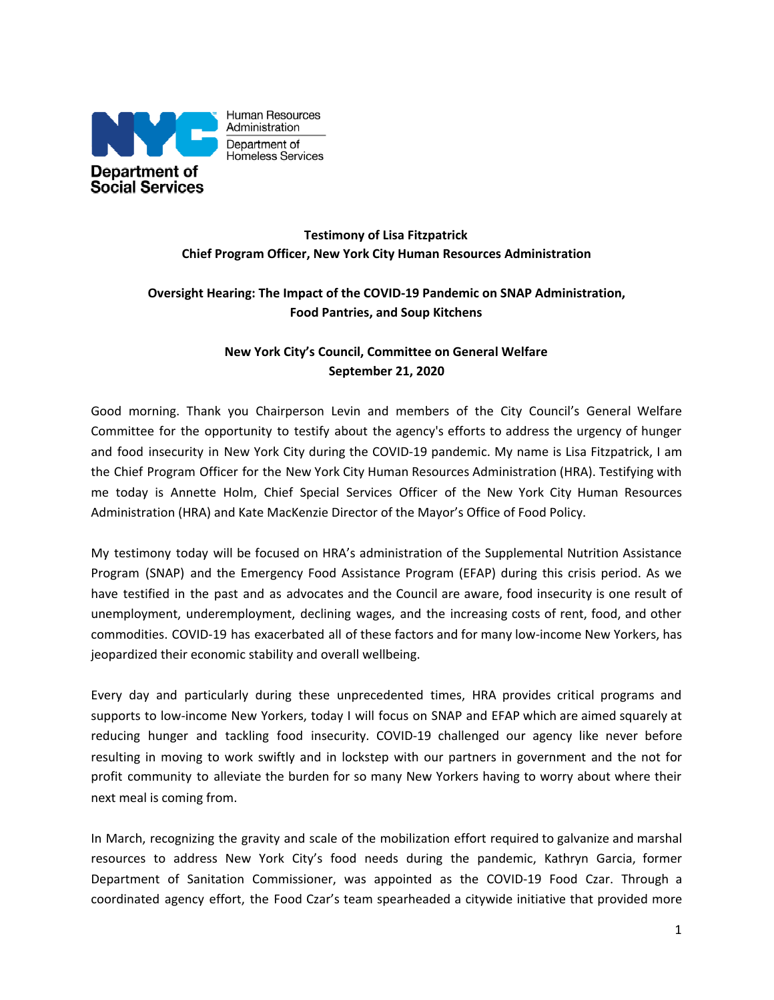

# **Testimony of Lisa Fitzpatrick Chief Program Officer, New York City Human Resources Administration**

# **Oversight Hearing: The Impact of the COVID-19 Pandemic on SNAP Administration, Food Pantries, and Soup Kitchens**

# **New York City's Council, Committee on General Welfare September 21, 2020**

Good morning. Thank you Chairperson Levin and members of the City Council's General Welfare Committee for the opportunity to testify about the agency's efforts to address the urgency of hunger and food insecurity in New York City during the COVID-19 pandemic. My name is Lisa Fitzpatrick, I am the Chief Program Officer for the New York City Human Resources Administration (HRA). Testifying with me today is Annette Holm, Chief Special Services Officer of the New York City Human Resources Administration (HRA) and Kate MacKenzie Director of the Mayor's Office of Food Policy.

My testimony today will be focused on HRA's administration of the Supplemental Nutrition Assistance Program (SNAP) and the Emergency Food Assistance Program (EFAP) during this crisis period. As we have testified in the past and as advocates and the Council are aware, food insecurity is one result of unemployment, underemployment, declining wages, and the increasing costs of rent, food, and other commodities. COVID-19 has exacerbated all of these factors and for many low-income New Yorkers, has jeopardized their economic stability and overall wellbeing.

Every day and particularly during these unprecedented times, HRA provides critical programs and supports to low-income New Yorkers, today I will focus on SNAP and EFAP which are aimed squarely at reducing hunger and tackling food insecurity. COVID-19 challenged our agency like never before resulting in moving to work swiftly and in lockstep with our partners in government and the not for profit community to alleviate the burden for so many New Yorkers having to worry about where their next meal is coming from.

In March, recognizing the gravity and scale of the mobilization effort required to galvanize and marshal resources to address New York City's food needs during the pandemic, Kathryn Garcia, former Department of Sanitation Commissioner, was appointed as the COVID-19 Food Czar. Through a coordinated agency effort, the Food Czar's team spearheaded a citywide initiative that provided more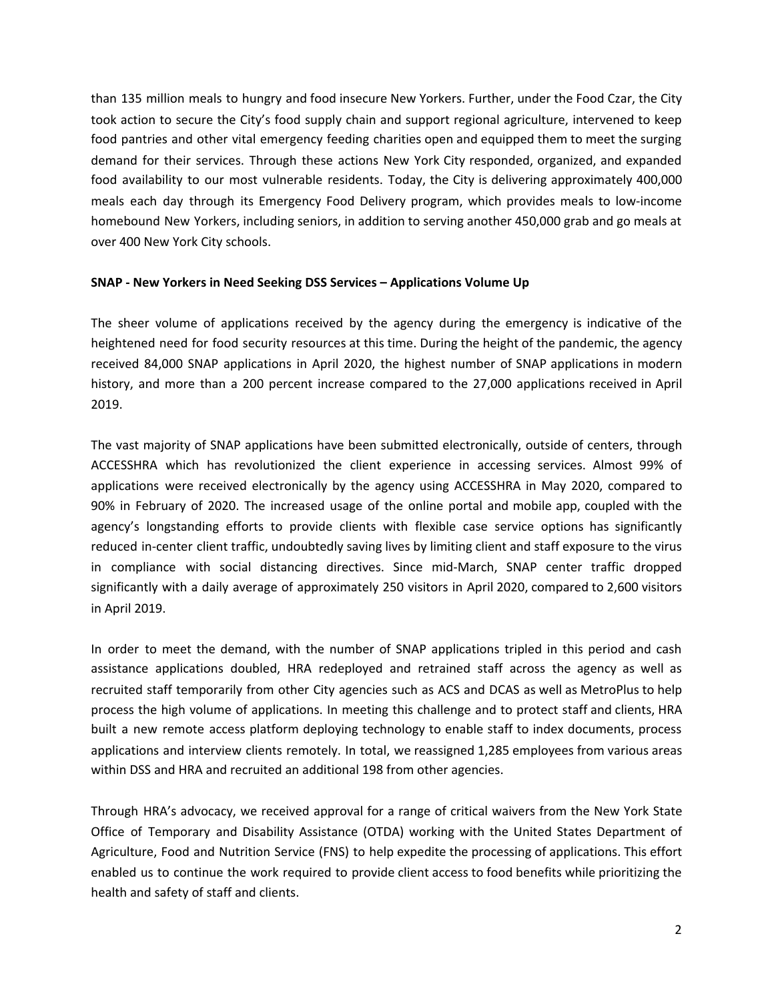than 135 million meals to hungry and food insecure New Yorkers. Further, under the Food Czar, the City took action to secure the City's food supply chain and support regional agriculture, intervened to keep food pantries and other vital emergency feeding charities open and equipped them to meet the surging demand for their services. Through these actions New York City responded, organized, and expanded food availability to our most vulnerable residents. Today, the City is delivering approximately 400,000 meals each day through its Emergency Food Delivery program, which provides meals to low-income homebound New Yorkers, including seniors, in addition to serving another 450,000 grab and go meals at over 400 New York City schools.

### **SNAP - New Yorkers in Need Seeking DSS Services – Applications Volume Up**

The sheer volume of applications received by the agency during the emergency is indicative of the heightened need for food security resources at this time. During the height of the pandemic, the agency received 84,000 SNAP applications in April 2020, the highest number of SNAP applications in modern history, and more than a 200 percent increase compared to the 27,000 applications received in April 2019.

The vast majority of SNAP applications have been submitted electronically, outside of centers, through ACCESSHRA which has revolutionized the client experience in accessing services. Almost 99% of applications were received electronically by the agency using ACCESSHRA in May 2020, compared to 90% in February of 2020. The increased usage of the online portal and mobile app, coupled with the agency's longstanding efforts to provide clients with flexible case service options has significantly reduced in-center client traffic, undoubtedly saving lives by limiting client and staff exposure to the virus in compliance with social distancing directives. Since mid-March, SNAP center traffic dropped significantly with a daily average of approximately 250 visitors in April 2020, compared to 2,600 visitors in April 2019.

In order to meet the demand, with the number of SNAP applications tripled in this period and cash assistance applications doubled, HRA redeployed and retrained staff across the agency as well as recruited staff temporarily from other City agencies such as ACS and DCAS as well as MetroPlus to help process the high volume of applications. In meeting this challenge and to protect staff and clients, HRA built a new remote access platform deploying technology to enable staff to index documents, process applications and interview clients remotely. In total, we reassigned 1,285 employees from various areas within DSS and HRA and recruited an additional 198 from other agencies.

Through HRA's advocacy, we received approval for a range of critical waivers from the New York State Office of Temporary and Disability Assistance (OTDA) working with the United States Department of Agriculture, Food and Nutrition Service (FNS) to help expedite the processing of applications. This effort enabled us to continue the work required to provide client access to food benefits while prioritizing the health and safety of staff and clients.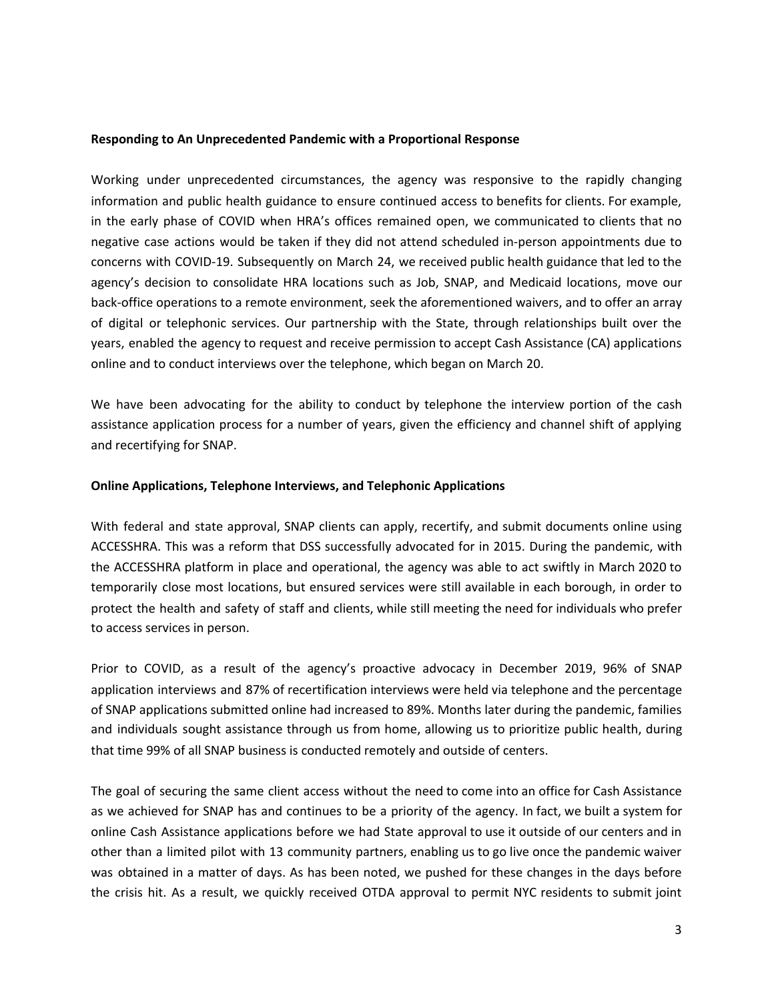#### **Responding to An Unprecedented Pandemic with a Proportional Response**

Working under unprecedented circumstances, the agency was responsive to the rapidly changing information and public health guidance to ensure continued access to benefits for clients. For example, in the early phase of COVID when HRA's offices remained open, we communicated to clients that no negative case actions would be taken if they did not attend scheduled in-person appointments due to concerns with COVID-19. Subsequently on March 24, we received public health guidance that led to the agency's decision to consolidate HRA locations such as Job, SNAP, and Medicaid locations, move our back-office operations to a remote environment, seek the aforementioned waivers, and to offer an array of digital or telephonic services. Our partnership with the State, through relationships built over the years, enabled the agency to request and receive permission to accept Cash Assistance (CA) applications online and to conduct interviews over the telephone, which began on March 20.

We have been advocating for the ability to conduct by telephone the interview portion of the cash assistance application process for a number of years, given the efficiency and channel shift of applying and recertifying for SNAP.

#### **Online Applications, Telephone Interviews, and Telephonic Applications**

With federal and state approval, SNAP clients can apply, recertify, and submit documents online using ACCESSHRA. This was a reform that DSS successfully advocated for in 2015. During the pandemic, with the ACCESSHRA platform in place and operational, the agency was able to act swiftly in March 2020 to temporarily close most locations, but ensured services were still available in each borough, in order to protect the health and safety of staff and clients, while still meeting the need for individuals who prefer to access services in person.

Prior to COVID, as a result of the agency's proactive advocacy in December 2019, 96% of SNAP application interviews and 87% of recertification interviews were held via telephone and the percentage of SNAP applications submitted online had increased to 89%. Months later during the pandemic, families and individuals sought assistance through us from home, allowing us to prioritize public health, during that time 99% of all SNAP business is conducted remotely and outside of centers.

The goal of securing the same client access without the need to come into an office for Cash Assistance as we achieved for SNAP has and continues to be a priority of the agency. In fact, we built a system for online Cash Assistance applications before we had State approval to use it outside of our centers and in other than a limited pilot with 13 community partners, enabling us to go live once the pandemic waiver was obtained in a matter of days. As has been noted, we pushed for these changes in the days before the crisis hit. As a result, we quickly received OTDA approval to permit NYC residents to submit joint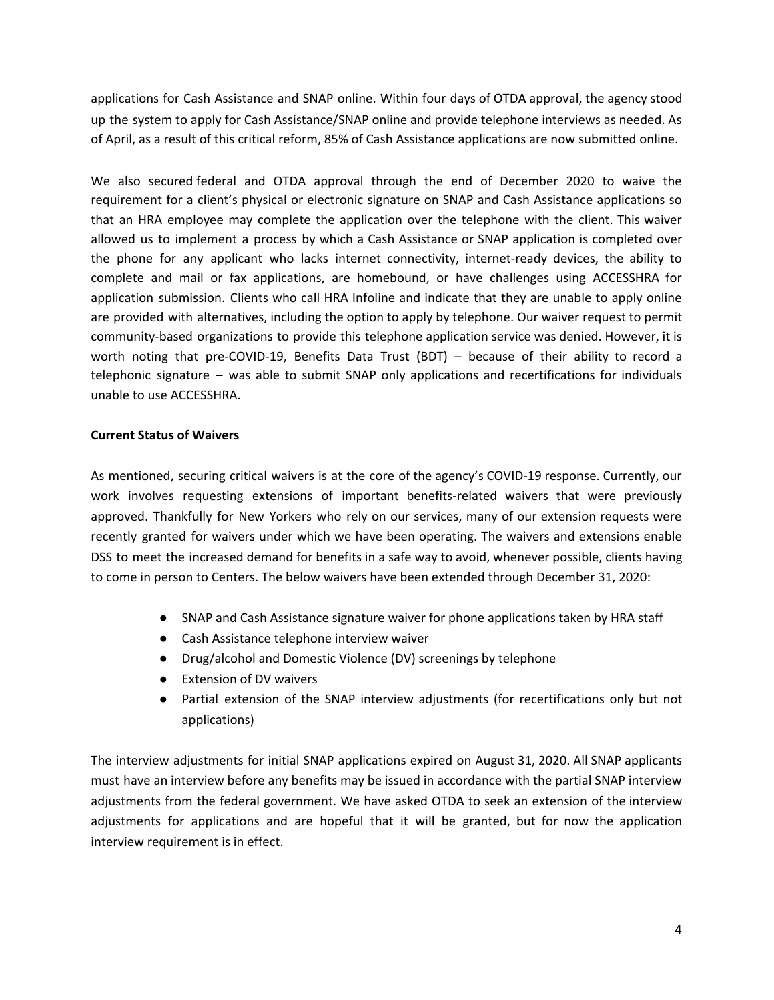applications for Cash Assistance and SNAP online. Within four days of OTDA approval, the agency stood up the system to apply for Cash Assistance/SNAP online and provide telephone interviews as needed. As of April, as a result of this critical reform, 85% of Cash Assistance applications are now submitted online.

We also secured federal and OTDA approval through the end of December 2020 to waive the requirement for a client's physical or electronic signature on SNAP and Cash Assistance applications so that an HRA employee may complete the application over the telephone with the client. This waiver allowed us to implement a process by which a Cash Assistance or SNAP application is completed over the phone for any applicant who lacks internet connectivity, internet-ready devices, the ability to complete and mail or fax applications, are homebound, or have challenges using ACCESSHRA for application submission. Clients who call HRA Infoline and indicate that they are unable to apply online are provided with alternatives, including the option to apply by telephone. Our waiver request to permit community-based organizations to provide this telephone application service was denied. However, it is worth noting that pre-COVID-19, Benefits Data Trust (BDT) – because of their ability to record a telephonic signature – was able to submit SNAP only applications and recertifications for individuals unable to use ACCESSHRA.

### **Current Status of Waivers**

As mentioned, securing critical waivers is at the core of the agency's COVID-19 response. Currently, our work involves requesting extensions of important benefits-related waivers that were previously approved. Thankfully for New Yorkers who rely on our services, many of our extension requests were recently granted for waivers under which we have been operating. The waivers and extensions enable DSS to meet the increased demand for benefits in a safe way to avoid, whenever possible, clients having to come in person to Centers. The below waivers have been extended through December 31, 2020:

- SNAP and Cash Assistance signature waiver for phone applications taken by HRA staff
- Cash Assistance telephone interview waiver
- Drug/alcohol and Domestic Violence (DV) screenings by telephone
- Extension of DV waivers
- Partial extension of the SNAP interview adjustments (for recertifications only but not applications)

The interview adjustments for initial SNAP applications expired on August 31, 2020. All SNAP applicants must have an interview before any benefits may be issued in accordance with the partial SNAP interview adjustments from the federal government. We have asked OTDA to seek an extension of the interview adjustments for applications and are hopeful that it will be granted, but for now the application interview requirement is in effect.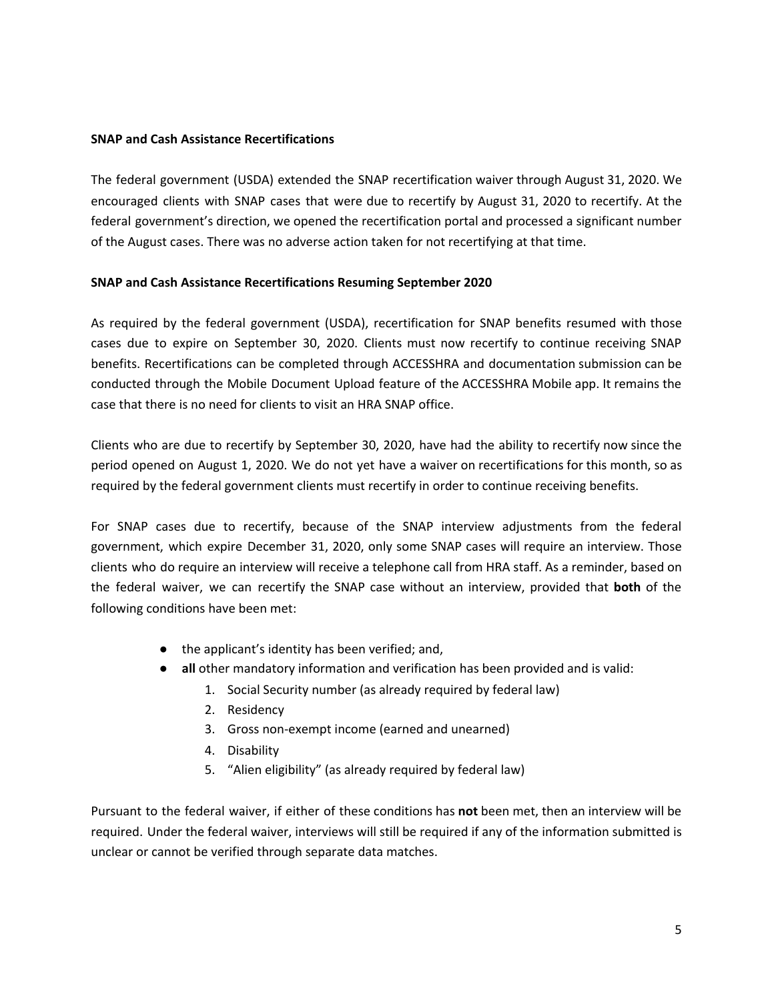### **SNAP and Cash Assistance Recertifications**

The federal government (USDA) extended the SNAP recertification waiver through August 31, 2020. We encouraged clients with SNAP cases that were due to recertify by August 31, 2020 to recertify. At the federal government's direction, we opened the recertification portal and processed a significant number of the August cases. There was no adverse action taken for not recertifying at that time.

### **SNAP and Cash Assistance Recertifications Resuming September 2020**

As required by the federal government (USDA), recertification for SNAP benefits resumed with those cases due to expire on September 30, 2020. Clients must now recertify to continue receiving SNAP benefits. Recertifications can be completed through ACCESSHRA and documentation submission can be conducted through the Mobile Document Upload feature of the ACCESSHRA Mobile app. It remains the case that there is no need for clients to visit an HRA SNAP office.

Clients who are due to recertify by September 30, 2020, have had the ability to recertify now since the period opened on August 1, 2020. We do not yet have a waiver on recertifications for this month, so as required by the federal government clients must recertify in order to continue receiving benefits.

For SNAP cases due to recertify, because of the SNAP interview adjustments from the federal government, which expire December 31, 2020, only some SNAP cases will require an interview. Those clients who do require an interview will receive a telephone call from HRA staff. As a reminder, based on the federal waiver, we can recertify the SNAP case without an interview, provided that **both** of the following conditions have been met:

- the applicant's identity has been verified; and,
- **all** other mandatory information and verification has been provided and is valid:
	- 1. Social Security number (as already required by federal law)
	- 2. Residency
	- 3. Gross non-exempt income (earned and unearned)
	- 4. Disability
	- 5. "Alien eligibility" (as already required by federal law)

Pursuant to the federal waiver, if either of these conditions has **not** been met, then an interview will be required. Under the federal waiver, interviews will still be required if any of the information submitted is unclear or cannot be verified through separate data matches.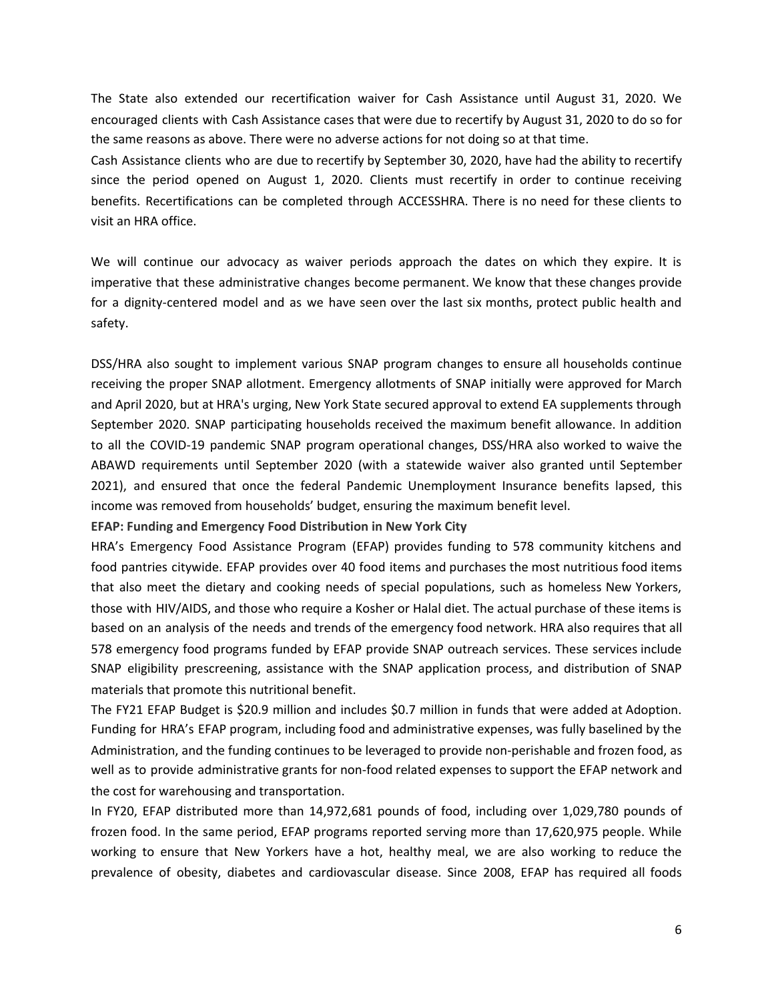The State also extended our recertification waiver for Cash Assistance until August 31, 2020. We encouraged clients with Cash Assistance cases that were due to recertify by August 31, 2020 to do so for the same reasons as above. There were no adverse actions for not doing so at that time.

Cash Assistance clients who are due to recertify by September 30, 2020, have had the ability to recertify since the period opened on August 1, 2020. Clients must recertify in order to continue receiving benefits. Recertifications can be completed through ACCESSHRA. There is no need for these clients to visit an HRA office.

We will continue our advocacy as waiver periods approach the dates on which they expire. It is imperative that these administrative changes become permanent. We know that these changes provide for a dignity-centered model and as we have seen over the last six months, protect public health and safety.

DSS/HRA also sought to implement various SNAP program changes to ensure all households continue receiving the proper SNAP allotment. Emergency allotments of SNAP initially were approved for March and April 2020, but at HRA's urging, New York State secured approval to extend EA supplements through September 2020. SNAP participating households received the maximum benefit allowance. In addition to all the COVID-19 pandemic SNAP program operational changes, DSS/HRA also worked to waive the ABAWD requirements until September 2020 (with a statewide waiver also granted until September 2021), and ensured that once the federal Pandemic Unemployment Insurance benefits lapsed, this income was removed from households' budget, ensuring the maximum benefit level.

**EFAP: Funding and Emergency Food Distribution in New York City**

HRA's Emergency Food Assistance Program (EFAP) provides funding to 578 community kitchens and food pantries citywide. EFAP provides over 40 food items and purchases the most nutritious food items that also meet the dietary and cooking needs of special populations, such as homeless New Yorkers, those with HIV/AIDS, and those who require a Kosher or Halal diet. The actual purchase of these items is based on an analysis of the needs and trends of the emergency food network. HRA also requires that all 578 emergency food programs funded by EFAP provide SNAP outreach services. These services include SNAP eligibility prescreening, assistance with the SNAP application process, and distribution of SNAP materials that promote this nutritional benefit.

The FY21 EFAP Budget is \$20.9 million and includes \$0.7 million in funds that were added at Adoption. Funding for HRA's EFAP program, including food and administrative expenses, was fully baselined by the Administration, and the funding continues to be leveraged to provide non-perishable and frozen food, as well as to provide administrative grants for non-food related expenses to support the EFAP network and the cost for warehousing and transportation.

In FY20, EFAP distributed more than 14,972,681 pounds of food, including over 1,029,780 pounds of frozen food. In the same period, EFAP programs reported serving more than 17,620,975 people. While working to ensure that New Yorkers have a hot, healthy meal, we are also working to reduce the prevalence of obesity, diabetes and cardiovascular disease. Since 2008, EFAP has required all foods